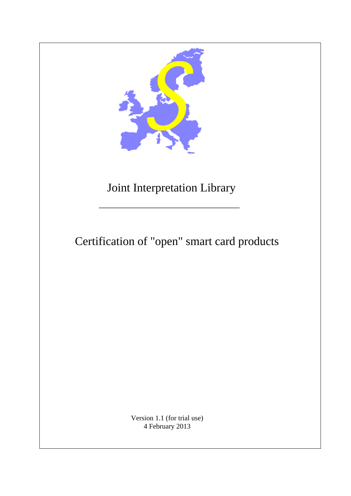

# Joint Interpretation Library

# Certification of "open" smart card products

Version 1.1 (for trial use) 4 February 2013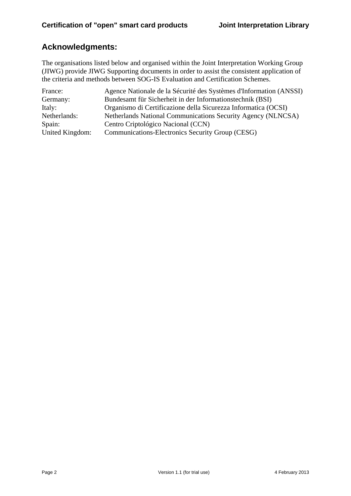# **Acknowledgments:**

The organisations listed below and organised within the Joint Interpretation Working Group (JIWG) provide JIWG Supporting documents in order to assist the consistent application of the criteria and methods between SOG-IS Evaluation and Certification Schemes.

| France:         | Agence Nationale de la Sécurité des Systèmes d'Information (ANSSI) |
|-----------------|--------------------------------------------------------------------|
| Germany:        | Bundesamt für Sicherheit in der Informationstechnik (BSI)          |
| Italy:          | Organismo di Certificazione della Sicurezza Informatica (OCSI)     |
| Netherlands:    | Netherlands National Communications Security Agency (NLNCSA)       |
| Spain:          | Centro Criptológico Nacional (CCN)                                 |
| United Kingdom: | Communications-Electronics Security Group (CESG)                   |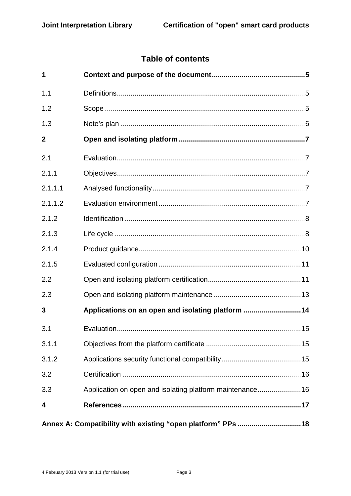# **Table of contents**

| 1                                                           |                                                          |  |  |
|-------------------------------------------------------------|----------------------------------------------------------|--|--|
| 1.1                                                         |                                                          |  |  |
| 1.2                                                         |                                                          |  |  |
| 1.3                                                         |                                                          |  |  |
| $\mathbf{2}$                                                |                                                          |  |  |
| 2.1                                                         |                                                          |  |  |
| 2.1.1                                                       |                                                          |  |  |
| 2.1.1.1                                                     |                                                          |  |  |
| 2.1.1.2                                                     |                                                          |  |  |
| 2.1.2                                                       |                                                          |  |  |
| 2.1.3                                                       |                                                          |  |  |
| 2.1.4                                                       |                                                          |  |  |
| 2.1.5                                                       |                                                          |  |  |
| 2.2                                                         |                                                          |  |  |
| 2.3                                                         |                                                          |  |  |
| 3                                                           | Applications on an open and isolating platform 14        |  |  |
| 3.1                                                         |                                                          |  |  |
| 3.1.1                                                       |                                                          |  |  |
| 3.1.2                                                       |                                                          |  |  |
| 3.2                                                         |                                                          |  |  |
| 3.3                                                         | Application on open and isolating platform maintenance16 |  |  |
| 4                                                           |                                                          |  |  |
| Annex A: Compatibility with existing "open platform" PPs 18 |                                                          |  |  |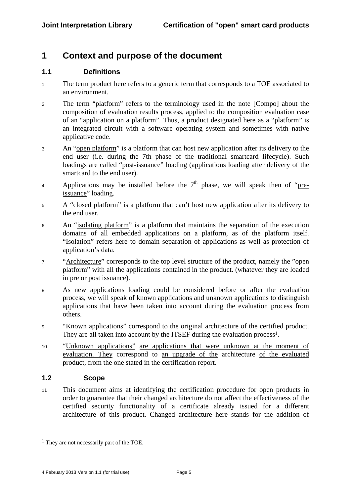# **1 Context and purpose of the document**

## **1.1 Definitions**

- <sup>1</sup>The term product here refers to a generic term that corresponds to a TOE associated to an environment.
- <sup>2</sup>The term "platform" refers to the terminology used in the note [Compo] about the composition of evaluation results process, applied to the composition evaluation case of an "application on a platform". Thus, a product designated here as a "platform" is an integrated circuit with a software operating system and sometimes with native applicative code.
- <sup>3</sup>An "open platform" is a platform that can host new application after its delivery to the end user (i.e. during the 7th phase of the traditional smartcard lifecycle). Such loadings are called "post-issuance" loading (applications loading after delivery of the smartcard to the end user).
- 4 Applications may be installed before the  $7<sup>th</sup>$  phase, we will speak then of "preissuance" loading.
- <sup>5</sup>A "closed platform" is a platform that can't host new application after its delivery to the end user.
- <sup>6</sup>An "isolating platform" is a platform that maintains the separation of the execution domains of all embedded applications on a platform, as of the platform itself. "Isolation" refers here to domain separation of applications as well as protection of application's data.
- <sup>7</sup>"Architecture" corresponds to the top level structure of the product, namely the "open platform" with all the applications contained in the product. (whatever they are loaded in pre or post issuance).
- <sup>8</sup>As new applications loading could be considered before or after the evaluation process, we will speak of known applications and unknown applications to distinguish applications that have been taken into account during the evaluation process from others.
- <sup>9</sup>"Known applications" correspond to the original architecture of the certified product. They are all taken into account by the ITSEF during the evaluation process<sup>1</sup>.
- <sup>10</sup>"Unknown applications" are applications that were unknown at the moment of evaluation. They correspond to an upgrade of the architecture of the evaluated product, from the one stated in the certification report.

# **1.2 Scope**

1

11 This document aims at identifying the certification procedure for open products in order to guarantee that their changed architecture do not affect the effectiveness of the certified security functionality of a certificate already issued for a different architecture of this product. Changed architecture here stands for the addition of

<sup>&</sup>lt;sup>1</sup> They are not necessarily part of the TOE.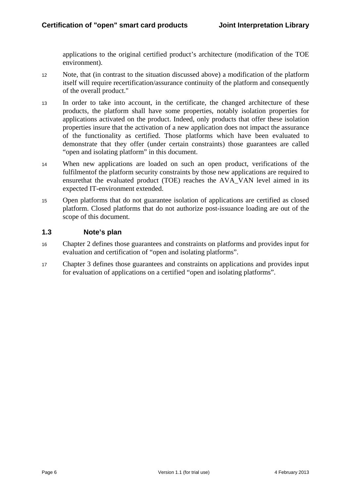applications to the original certified product's architecture (modification of the TOE environment).

- 12 Note, that (in contrast to the situation discussed above) a modification of the platform itself will require recertification/assurance continuity of the platform and consequently of the overall product."
- <sup>13</sup>In order to take into account, in the certificate, the changed architecture of these products, the platform shall have some properties, notably isolation properties for applications activated on the product. Indeed, only products that offer these isolation properties insure that the activation of a new application does not impact the assurance of the functionality as certified. Those platforms which have been evaluated to demonstrate that they offer (under certain constraints) those guarantees are called "open and isolating platform" in this document.
- <sup>14</sup>When new applications are loaded on such an open product, verifications of the fulfilmentof the platform security constraints by those new applications are required to ensurethat the evaluated product (TOE) reaches the AVA\_VAN level aimed in its expected IT-environment extended.
- <sup>15</sup>Open platforms that do not guarantee isolation of applications are certified as closed platform. Closed platforms that do not authorize post-issuance loading are out of the scope of this document.

## **1.3 Note's plan**

- <sup>16</sup>Chapter 2 defines those guarantees and constraints on platforms and provides input for evaluation and certification of "open and isolating platforms".
- <sup>17</sup>Chapter 3 defines those guarantees and constraints on applications and provides input for evaluation of applications on a certified "open and isolating platforms".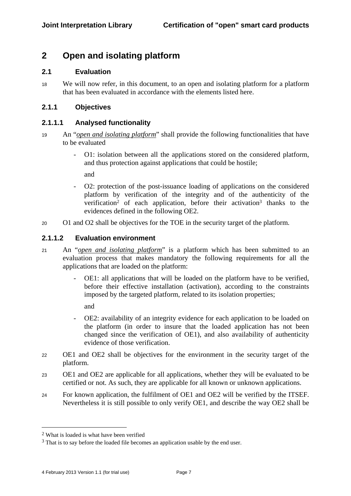# **2 Open and isolating platform**

## **2.1 Evaluation**

<sup>18</sup>We will now refer, in this document, to an open and isolating platform for a platform that has been evaluated in accordance with the elements listed here.

# **2.1.1 Objectives**

## **2.1.1.1 Analysed functionality**

- <sup>19</sup>An "*open and isolating platform*" shall provide the following functionalities that have to be evaluated
	- O1: isolation between all the applications stored on the considered platform, and thus protection against applications that could be hostile;

and

- O2: protection of the post-issuance loading of applications on the considered platform by verification of the integrity and of the authenticity of the verification2 of each application, before their activation3 thanks to the evidences defined in the following OE2.
- 20 O1 and O2 shall be objectives for the TOE in the security target of the platform.

## **2.1.1.2 Evaluation environment**

- <sup>21</sup>An "*open and isolating platform*" is a platform which has been submitted to an evaluation process that makes mandatory the following requirements for all the applications that are loaded on the platform:
	- OE1: all applications that will be loaded on the platform have to be verified, before their effective installation (activation), according to the constraints imposed by the targeted platform, related to its isolation properties;

and

- OE2: availability of an integrity evidence for each application to be loaded on the platform (in order to insure that the loaded application has not been changed since the verification of OE1), and also availability of authenticity evidence of those verification.
- 22 OE1 and OE2 shall be objectives for the environment in the security target of the platform.
- <sup>23</sup>OE1 and OE2 are applicable for all applications, whether they will be evaluated to be certified or not. As such, they are applicable for all known or unknown applications.
- <sup>24</sup>For known application, the fulfilment of OE1 and OE2 will be verified by the ITSEF. Nevertheless it is still possible to only verify OE1, and describe the way OE2 shall be

<sup>2</sup> What is loaded is what have been verified

<sup>&</sup>lt;sup>3</sup> That is to say before the loaded file becomes an application usable by the end user.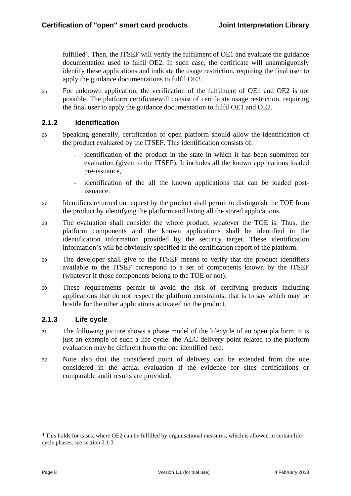fulfilled<sup>4</sup>. Then, the ITSEF will verify the fulfilment of OE1 and evaluate the guidance documentation used to fulfil OE2. In such case, the certificate will unambiguously identify these applications and indicate the usage restriction, requiring the final user to apply the guidance documentations to fulfil OE2.

<sup>25</sup>For unknown application, the verification of the fulfilment of OE1 and OE2 is not possible. The platform certificatewill consist of certificate usage restriction, requiring the final user to apply the guidance documentation to fulfil OE1 and OE2.

# **2.1.2 Identification**

- <sup>26</sup>Speaking generally, certification of open platform should allow the identification of the product evaluated by the ITSEF. This identification consists of:
	- identification of the product in the state in which it has been submitted for evaluation (given to the ITSEF). It includes all the known applications loaded pre-issuance,
	- identification of the all the known applications that can be loaded postissuance.
- 27 Identifiers returned on request by the product shall permit to distinguish the TOE from the product by identifying the platform and listing all the stored applications.
- <sup>28</sup>The evaluation shall consider the whole product, whatever the TOE is. Thus, the platform components and the known applications shall be identified in the identification information provided by the security target. These identification information's will be obviously specified in the certification report of the platform.
- <sup>29</sup>The developer shall give to the ITSEF means to verify that the product identifiers available to the ITSEF correspond to a set of components known by the ITSEF (whatever if those components belong to the TOE or not).
- <sup>30</sup>These requirements permit to avoid the risk of certifying products including applications that do not respect the platform constraints, that is to say which may be hostile for the other applications activated on the product.

# **2.1.3 Life cycle**

- 31 The following picture shows a phase model of the lifecycle of an open platform. It is just an example of such a life cycle: the ALC delivery point related to the platform evaluation may be different from the one identified here.
- 32 Note also that the considered point of delivery can be extended from the one considered in the actual evaluation if the evidence for sites certifications or comparable audit results are provided.

<sup>4</sup> This holds for cases, where OE2 can be fulfilled by organisational measures, which is allowed in certain lifecycle phases, see section 2.1.3.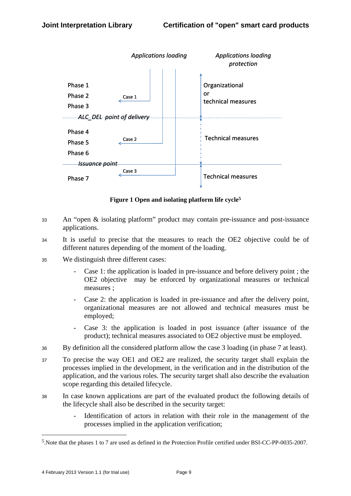

**Figure 1 Open and isolating platform life cycle5**

- <sup>33</sup>An "open & isolating platform" product may contain pre-issuance and post-issuance applications.
- <sup>34</sup>It is useful to precise that the measures to reach the OE2 objective could be of different natures depending of the moment of the loading.
- <sup>35</sup>We distinguish three different cases:
	- Case 1: the application is loaded in pre-issuance and before delivery point; the OE2 objective may be enforced by organizational measures or technical measures ;
	- Case 2: the application is loaded in pre-issuance and after the delivery point, organizational measures are not allowed and technical measures must be employed;
	- Case 3: the application is loaded in post issuance (after issuance of the product); technical measures associated to OE2 objective must be employed.
- <sup>36</sup>By definition all the considered platform allow the case 3 loading (in phase 7 at least).
- <sup>37</sup>To precise the way OE1 and OE2 are realized, the security target shall explain the processes implied in the development, in the verification and in the distribution of the application, and the various roles. The security target shall also describe the evaluation scope regarding this detailed lifecycle.
- <sup>38</sup>In case known applications are part of the evaluated product the following details of the lifecycle shall also be described in the security target:
	- Identification of actors in relation with their role in the management of the processes implied in the application verification;

<sup>5.</sup>Note that the phases 1 to 7 are used as defined in the Protection Profile certified under BSI-CC-PP-0035-2007.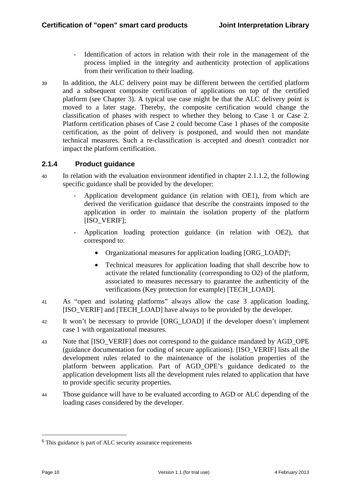- Identification of actors in relation with their role in the management of the process implied in the integrity and authenticity protection of applications from their verification to their loading.
- <sup>39</sup>In addition, the ALC delivery point may be different between the certified platform and a subsequent composite certification of applications on top of the certified platform (see Chapter 3). A typical use case might be that the ALC delivery point is moved to a later stage. Thereby, the composite certification would change the classification of phases with respect to whether they belong to Case 1 or Case 2. Platform certification phases of Case 2 could become Case 1 phases of the composite certification, as the point of delivery is postponed, and would then not mandate technical measures. Such a re-classification is accepted and doesn't contradict nor impact the platform certification.

# **2.1.4 Product guidance**

- 40 In relation with the evaluation environment identified in chapter 2.1.1.2, the following specific guidance shall be provided by the developer:
	- Application development guidance (in relation with OE1), from which are derived the verification guidance that describe the constraints imposed to the application in order to maintain the isolation property of the platform [ISO\_VERIF];
	- Application loading protection guidance (in relation with OE2), that correspond to:
		- Organizational measures for application loading [ORG\_LOAD]<sup>6</sup>;
		- Technical measures for application loading that shall describe how to activate the related functionality (corresponding to O2) of the platform, associated to measures necessary to guarantee the authenticity of the verifications (Key protection for example) [TECH\_LOAD].
- <sup>41</sup>As "open and isolating platforms" always allow the case 3 application loading, [ISO\_VERIF] and [TECH\_LOAD] have always to be provided by the developer.
- <sup>42</sup>It won't be necessary to provide [ORG\_LOAD] if the developer doesn't implement case 1 with organizational measures.
- 43 Note that [ISO\_VERIF] does not correspond to the guidance mandated by AGD\_OPE (guidance documentation for coding of secure applications). [ISO\_VERIF] lists all the development rules related to the maintenance of the isolation properties of the platform between application. Part of AGD\_OPE's guidance dedicated to the application development lists all the development rules related to application that have to provide specific security properties.
- <sup>44</sup>Those guidance will have to be evaluated according to AGD or ALC depending of the loading cases considered by the developer.

<sup>6</sup> This guidance is part of ALC security assurance requirements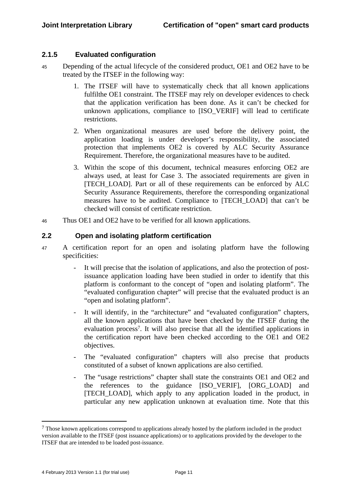## **2.1.5 Evaluated configuration**

- 45 Depending of the actual lifecycle of the considered product, OE1 and OE2 have to be treated by the ITSEF in the following way:
	- 1. The ITSEF will have to systematically check that all known applications fulfilthe OE1 constraint. The ITSEF may rely on developer evidences to check that the application verification has been done. As it can't be checked for unknown applications, compliance to [ISO\_VERIF] will lead to certificate restrictions.
	- 2. When organizational measures are used before the delivery point, the application loading is under developer's responsibility, the associated protection that implements OE2 is covered by ALC Security Assurance Requirement. Therefore, the organizational measures have to be audited.
	- 3. Within the scope of this document, technical measures enforcing OE2 are always used, at least for Case 3. The associated requirements are given in [TECH\_LOAD]. Part or all of these requirements can be enforced by ALC Security Assurance Requirements, therefore the corresponding organizational measures have to be audited. Compliance to [TECH\_LOAD] that can't be checked will consist of certificate restriction.
- <sup>46</sup>Thus OE1 and OE2 have to be verified for all known applications.

#### **2.2 Open and isolating platform certification**

- <sup>47</sup>A certification report for an open and isolating platform have the following specificities:
	- It will precise that the isolation of applications, and also the protection of postissuance application loading have been studied in order to identify that this platform is conformant to the concept of "open and isolating platform". The "evaluated configuration chapter" will precise that the evaluated product is an "open and isolating platform".
	- It will identify, in the "architecture" and "evaluated configuration" chapters, all the known applications that have been checked by the ITSEF during the evaluation process7. It will also precise that all the identified applications in the certification report have been checked according to the OE1 and OE2 objectives.
	- The "evaluated configuration" chapters will also precise that products constituted of a subset of known applications are also certified.
	- The "usage restrictions" chapter shall state the constraints OE1 and OE2 and the references to the guidance [ISO\_VERIF], [ORG\_LOAD] and [TECH\_LOAD], which apply to any application loaded in the product, in particular any new application unknown at evaluation time. Note that this

<sup>7</sup> Those known applications correspond to applications already hosted by the platform included in the product version available to the ITSEF (post issuance applications) or to applications provided by the developer to the ITSEF that are intended to be loaded post-issuance.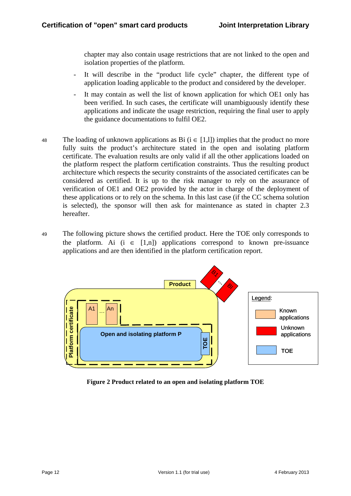chapter may also contain usage restrictions that are not linked to the open and isolation properties of the platform.

- It will describe in the "product life cycle" chapter, the different type of application loading applicable to the product and considered by the developer.
- It may contain as well the list of known application for which OE1 only has been verified. In such cases, the certificate will unambiguously identify these applications and indicate the usage restriction, requiring the final user to apply the guidance documentations to fulfil OE2.
- 48 The loading of unknown applications as Bi ( $i \in [1,1]$ ) implies that the product no more fully suits the product's architecture stated in the open and isolating platform certificate. The evaluation results are only valid if all the other applications loaded on the platform respect the platform certification constraints. Thus the resulting product architecture which respects the security constraints of the associated certificates can be considered as certified. It is up to the risk manager to rely on the assurance of verification of OE1 and OE2 provided by the actor in charge of the deployment of these applications or to rely on the schema. In this last case (if the CC schema solution is selected), the sponsor will then ask for maintenance as stated in chapter 2.3 hereafter.
- <sup>49</sup>The following picture shows the certified product. Here the TOE only corresponds to the platform. Ai (i  $\in$  [1,n]) applications correspond to known pre-issuance applications and are then identified in the platform certification report.



**Figure 2 Product related to an open and isolating platform TOE**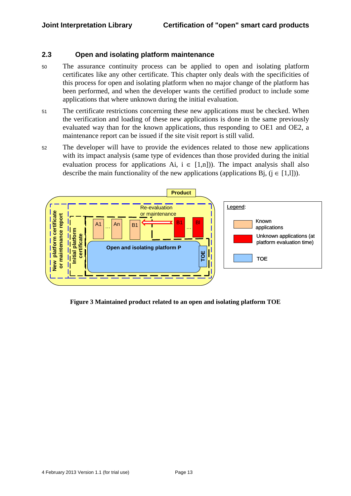## **2.3 Open and isolating platform maintenance**

- <sup>50</sup>The assurance continuity process can be applied to open and isolating platform certificates like any other certificate. This chapter only deals with the specificities of this process for open and isolating platform when no major change of the platform has been performed, and when the developer wants the certified product to include some applications that where unknown during the initial evaluation.
- 51 The certificate restrictions concerning these new applications must be checked. When the verification and loading of these new applications is done in the same previously evaluated way than for the known applications, thus responding to OE1 and OE2, a maintenance report can be issued if the site visit report is still valid.
- 52 The developer will have to provide the evidences related to those new applications with its impact analysis (same type of evidences than those provided during the initial evaluation process for applications Ai,  $i \in [1,n]$ ). The impact analysis shall also describe the main functionality of the new applications (applications Bi,  $(i \in [1,1])$ ).



**Figure 3 Maintained product related to an open and isolating platform TOE**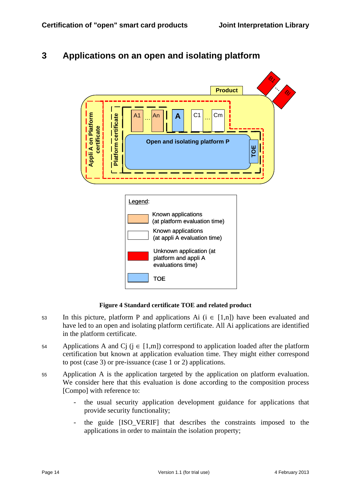# **3 Applications on an open and isolating platform**



#### **Figure 4 Standard certificate TOE and related product**

- 53 In this picture, platform P and applications Ai ( $i \in [1,n]$ ) have been evaluated and have led to an open and isolating platform certificate. All Ai applications are identified in the platform certificate.
- 54 Applications A and Cj ( $j \in [1,m]$ ) correspond to application loaded after the platform certification but known at application evaluation time. They might either correspond to post (case 3) or pre-issuance (case 1 or 2) applications.
- 55 Application A is the application targeted by the application on platform evaluation. We consider here that this evaluation is done according to the composition process [Compo] with reference to:
	- the usual security application development guidance for applications that provide security functionality;
	- the guide [ISO VERIF] that describes the constraints imposed to the applications in order to maintain the isolation property;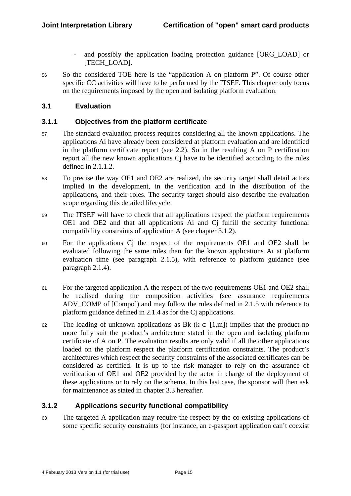- and possibly the application loading protection guidance [ORG\_LOAD] or [TECH\_LOAD].
- 56 So the considered TOE here is the "application A on platform P". Of course other specific CC activities will have to be performed by the ITSEF. This chapter only focus on the requirements imposed by the open and isolating platform evaluation.

## **3.1 Evaluation**

## **3.1.1 Objectives from the platform certificate**

- <sup>57</sup>The standard evaluation process requires considering all the known applications. The applications Ai have already been considered at platform evaluation and are identified in the platform certificate report (see 2.2). So in the resulting A on P certification report all the new known applications Ci have to be identified according to the rules defined in 2.1.1.2.
- 58 To precise the way OE1 and OE2 are realized, the security target shall detail actors implied in the development, in the verification and in the distribution of the applications, and their roles. The security target should also describe the evaluation scope regarding this detailed lifecycle.
- 59 The ITSEF will have to check that all applications respect the platform requirements OE1 and OE2 and that all applications Ai and Cj fulfill the security functional compatibility constraints of application A (see chapter 3.1.2).
- <sup>60</sup>For the applications Cj the respect of the requirements OE1 and OE2 shall be evaluated following the same rules than for the known applications Ai at platform evaluation time (see paragraph 2.1.5), with reference to platform guidance (see paragraph 2.1.4).
- <sup>61</sup>For the targeted application A the respect of the two requirements OE1 and OE2 shall be realised during the composition activities (see assurance requirements ADV COMP of [Compo]) and may follow the rules defined in 2.1.5 with reference to platform guidance defined in 2.1.4 as for the Cj applications.
- 62 The loading of unknown applications as Bk ( $k \in [1,m]$ ) implies that the product no more fully suit the product's architecture stated in the open and isolating platform certificate of A on P. The evaluation results are only valid if all the other applications loaded on the platform respect the platform certification constraints. The product's architectures which respect the security constraints of the associated certificates can be considered as certified. It is up to the risk manager to rely on the assurance of verification of OE1 and OE2 provided by the actor in charge of the deployment of these applications or to rely on the schema. In this last case, the sponsor will then ask for maintenance as stated in chapter 3.3 hereafter.

# **3.1.2 Applications security functional compatibility**

<sup>63</sup>The targeted A application may require the respect by the co-existing applications of some specific security constraints (for instance, an e-passport application can't coexist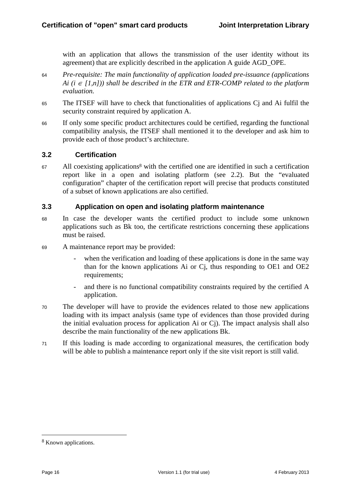with an application that allows the transmission of the user identity without its agreement) that are explicitly described in the application A guide AGD\_OPE.

- <sup>64</sup>*Pre-requisite: The main functionality of application loaded pre-issuance (applications Ai* ( $i ∈ [1,n])$ ) shall be described in the ETR and ETR-COMP related to the platform *evaluation.*
- <sup>65</sup>The ITSEF will have to check that functionalities of applications Cj and Ai fulfil the security constraint required by application A.
- <sup>66</sup>If only some specific product architectures could be certified, regarding the functional compatibility analysis, the ITSEF shall mentioned it to the developer and ask him to provide each of those product's architecture.

## **3.2 Certification**

 $67$  All coexisting applications<sup>8</sup> with the certified one are identified in such a certification report like in a open and isolating platform (see 2.2). But the "evaluated configuration" chapter of the certification report will precise that products constituted of a subset of known applications are also certified.

## **3.3 Application on open and isolating platform maintenance**

- <sup>68</sup>In case the developer wants the certified product to include some unknown applications such as Bk too, the certificate restrictions concerning these applications must be raised.
- <sup>69</sup>A maintenance report may be provided:
	- when the verification and loading of these applications is done in the same way than for the known applications Ai or Cj, thus responding to OE1 and OE2 requirements;
	- and there is no functional compatibility constraints required by the certified A application.
- <sup>70</sup>The developer will have to provide the evidences related to those new applications loading with its impact analysis (same type of evidences than those provided during the initial evaluation process for application Ai or Cj). The impact analysis shall also describe the main functionality of the new applications Bk.
- 71 If this loading is made according to organizational measures, the certification body will be able to publish a maintenance report only if the site visit report is still valid.

<sup>8</sup> Known applications.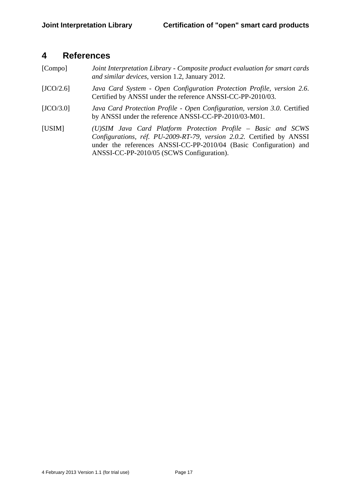# **4 References**

- [Compo] *Joint Interpretation Library Composite product evaluation for smart cards and similar devices*, version 1.2, January 2012.
- [JCO/2.6] *Java Card System Open Configuration Protection Profile, version 2.6*. Certified by ANSSI under the reference ANSSI-CC-PP-2010/03.
- [JCO/3.0] *Java Card Protection Profile Open Configuration, version 3.0*. Certified by ANSSI under the reference ANSSI-CC-PP-2010/03-M01.
- [USIM] *(U)SIM Java Card Platform Protection Profile Basic and SCWS Configurations, réf. PU-2009-RT-79, version 2.0.2.* Certified by ANSSI under the references ANSSI-CC-PP-2010/04 (Basic Configuration) and ANSSI-CC-PP-2010/05 (SCWS Configuration).